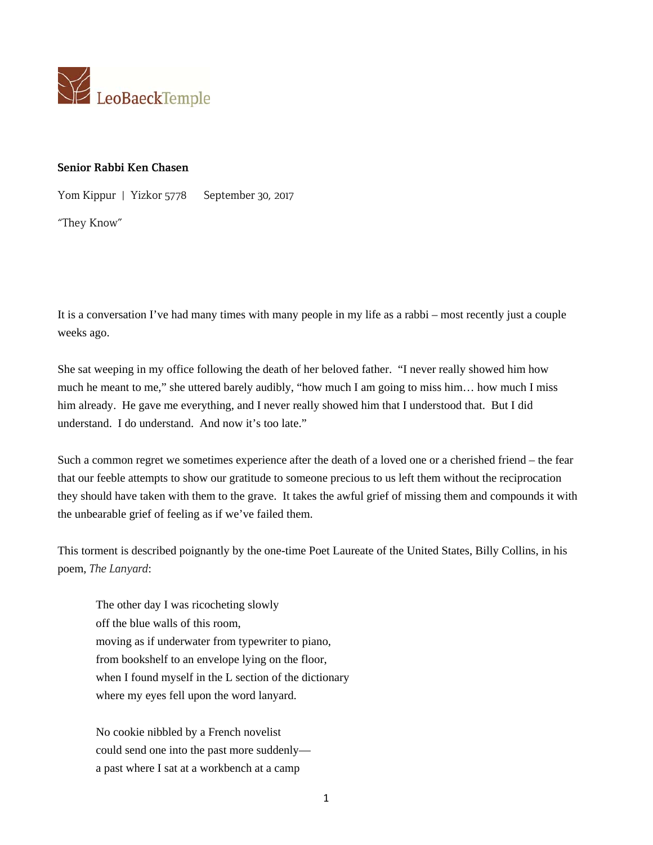

## **Senior Rabbi Ken Chasen**

Yom Kippur | Yizkor 5778 September 30, 2017

"They Know"

It is a conversation I've had many times with many people in my life as a rabbi – most recently just a couple weeks ago.

She sat weeping in my office following the death of her beloved father. "I never really showed him how much he meant to me," she uttered barely audibly, "how much I am going to miss him… how much I miss him already. He gave me everything, and I never really showed him that I understood that. But I did understand. I do understand. And now it's too late."

Such a common regret we sometimes experience after the death of a loved one or a cherished friend – the fear that our feeble attempts to show our gratitude to someone precious to us left them without the reciprocation they should have taken with them to the grave. It takes the awful grief of missing them and compounds it with the unbearable grief of feeling as if we've failed them.

This torment is described poignantly by the one-time Poet Laureate of the United States, Billy Collins, in his poem, *The Lanyard*:

The other day I was ricocheting slowly off the blue walls of this room, moving as if underwater from typewriter to piano, from bookshelf to an envelope lying on the floor, when I found myself in the L section of the dictionary where my eyes fell upon the word lanyard.

No cookie nibbled by a French novelist could send one into the past more suddenly a past where I sat at a workbench at a camp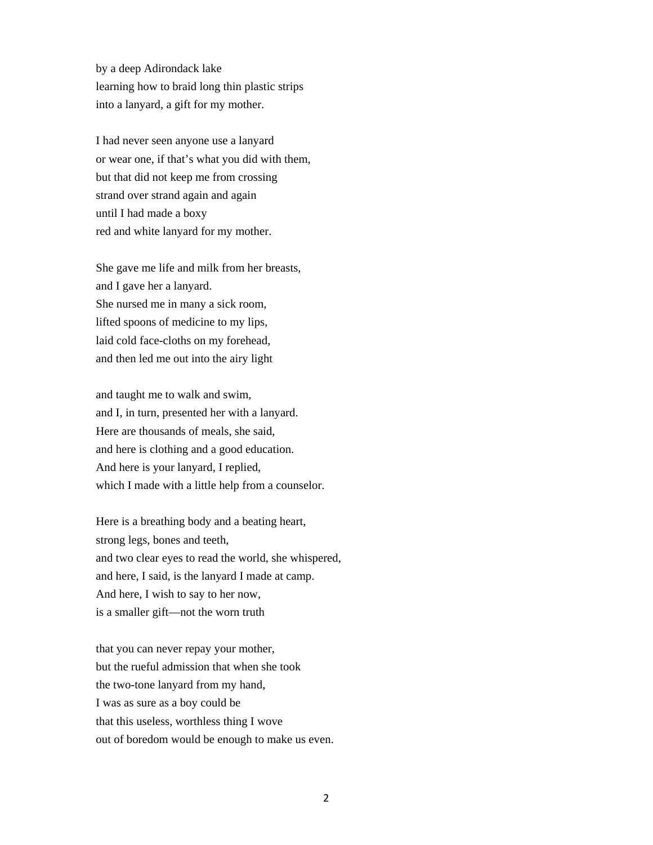by a deep Adirondack lake learning how to braid long thin plastic strips into a lanyard, a gift for my mother.

I had never seen anyone use a lanyard or wear one, if that's what you did with them, but that did not keep me from crossing strand over strand again and again until I had made a boxy red and white lanyard for my mother.

She gave me life and milk from her breasts, and I gave her a lanyard. She nursed me in many a sick room, lifted spoons of medicine to my lips, laid cold face-cloths on my forehead, and then led me out into the airy light

and taught me to walk and swim, and I, in turn, presented her with a lanyard. Here are thousands of meals, she said, and here is clothing and a good education. And here is your lanyard, I replied, which I made with a little help from a counselor.

Here is a breathing body and a beating heart, strong legs, bones and teeth, and two clear eyes to read the world, she whispered, and here, I said, is the lanyard I made at camp. And here, I wish to say to her now, is a smaller gift—not the worn truth

that you can never repay your mother, but the rueful admission that when she took the two-tone lanyard from my hand, I was as sure as a boy could be that this useless, worthless thing I wove out of boredom would be enough to make us even.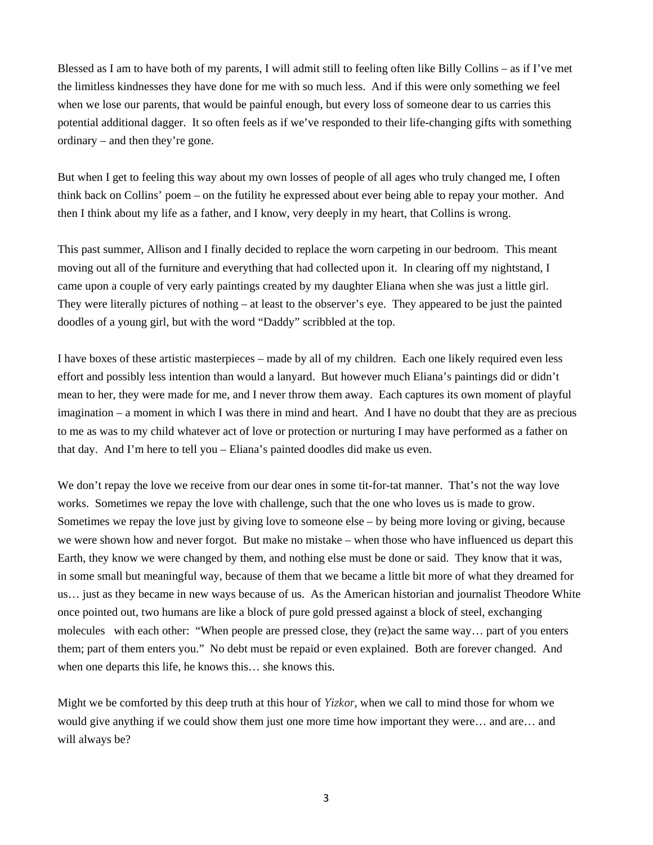Blessed as I am to have both of my parents, I will admit still to feeling often like Billy Collins – as if I've met the limitless kindnesses they have done for me with so much less. And if this were only something we feel when we lose our parents, that would be painful enough, but every loss of someone dear to us carries this potential additional dagger. It so often feels as if we've responded to their life-changing gifts with something ordinary – and then they're gone.

But when I get to feeling this way about my own losses of people of all ages who truly changed me, I often think back on Collins' poem – on the futility he expressed about ever being able to repay your mother. And then I think about my life as a father, and I know, very deeply in my heart, that Collins is wrong.

This past summer, Allison and I finally decided to replace the worn carpeting in our bedroom. This meant moving out all of the furniture and everything that had collected upon it. In clearing off my nightstand, I came upon a couple of very early paintings created by my daughter Eliana when she was just a little girl. They were literally pictures of nothing – at least to the observer's eye. They appeared to be just the painted doodles of a young girl, but with the word "Daddy" scribbled at the top.

I have boxes of these artistic masterpieces – made by all of my children. Each one likely required even less effort and possibly less intention than would a lanyard. But however much Eliana's paintings did or didn't mean to her, they were made for me, and I never throw them away. Each captures its own moment of playful imagination – a moment in which I was there in mind and heart. And I have no doubt that they are as precious to me as was to my child whatever act of love or protection or nurturing I may have performed as a father on that day. And I'm here to tell you – Eliana's painted doodles did make us even.

We don't repay the love we receive from our dear ones in some tit-for-tat manner. That's not the way love works. Sometimes we repay the love with challenge, such that the one who loves us is made to grow. Sometimes we repay the love just by giving love to someone else – by being more loving or giving, because we were shown how and never forgot. But make no mistake – when those who have influenced us depart this Earth, they know we were changed by them, and nothing else must be done or said. They know that it was, in some small but meaningful way, because of them that we became a little bit more of what they dreamed for us… just as they became in new ways because of us. As the American historian and journalist Theodore White once pointed out, two humans are like a block of pure gold pressed against a block of steel, exchanging molecules with each other: "When people are pressed close, they (re)act the same way… part of you enters them; part of them enters you." No debt must be repaid or even explained. Both are forever changed. And when one departs this life, he knows this… she knows this.

Might we be comforted by this deep truth at this hour of *Yizkor*, when we call to mind those for whom we would give anything if we could show them just one more time how important they were… and are… and will always be?